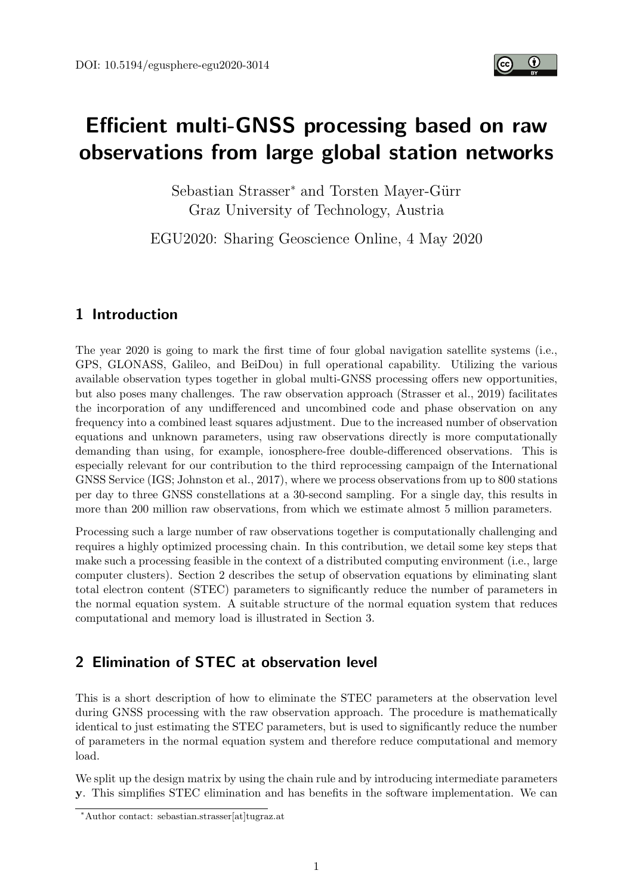

# Efficient multi-GNSS processing based on raw observations from large global station networks

Sebastian Strasser<sup>\*</sup> and Torsten Mayer-Gürr Graz University of Technology, Austria

EGU2020: Sharing Geoscience Online, 4 May 2020

## 1 Introduction

The year 2020 is going to mark the first time of four global navigation satellite systems (i.e., GPS, GLONASS, Galileo, and BeiDou) in full operational capability. Utilizing the various available observation types together in global multi-GNSS processing offers new opportunities, but also poses many challenges. The raw observation approach (Strasser et al., [2019\)](#page-4-0) facilitates the incorporation of any undifferenced and uncombined code and phase observation on any frequency into a combined least squares adjustment. Due to the increased number of observation equations and unknown parameters, using raw observations directly is more computationally demanding than using, for example, ionosphere-free double-differenced observations. This is especially relevant for our contribution to the third reprocessing campaign of the International GNSS Service (IGS; Johnston et al., [2017\)](#page-4-1), where we process observations from up to 800 stations per day to three GNSS constellations at a 30-second sampling. For a single day, this results in more than 200 million raw observations, from which we estimate almost 5 million parameters.

Processing such a large number of raw observations together is computationally challenging and requires a highly optimized processing chain. In this contribution, we detail some key steps that make such a processing feasible in the context of a distributed computing environment (i.e., large computer clusters). Section [2](#page-0-0) describes the setup of observation equations by eliminating slant total electron content (STEC) parameters to significantly reduce the number of parameters in the normal equation system. A suitable structure of the normal equation system that reduces computational and memory load is illustrated in Section [3.](#page-2-0)

## <span id="page-0-0"></span>2 Elimination of STEC at observation level

This is a short description of how to eliminate the STEC parameters at the observation level during GNSS processing with the raw observation approach. The procedure is mathematically identical to just estimating the STEC parameters, but is used to significantly reduce the number of parameters in the normal equation system and therefore reduce computational and memory load.

We split up the design matrix by using the chain rule and by introducing intermediate parameters y. This simplifies STEC elimination and has benefits in the software implementation. We can

<sup>∗</sup>Author contact: sebastian.strasser[at]tugraz.at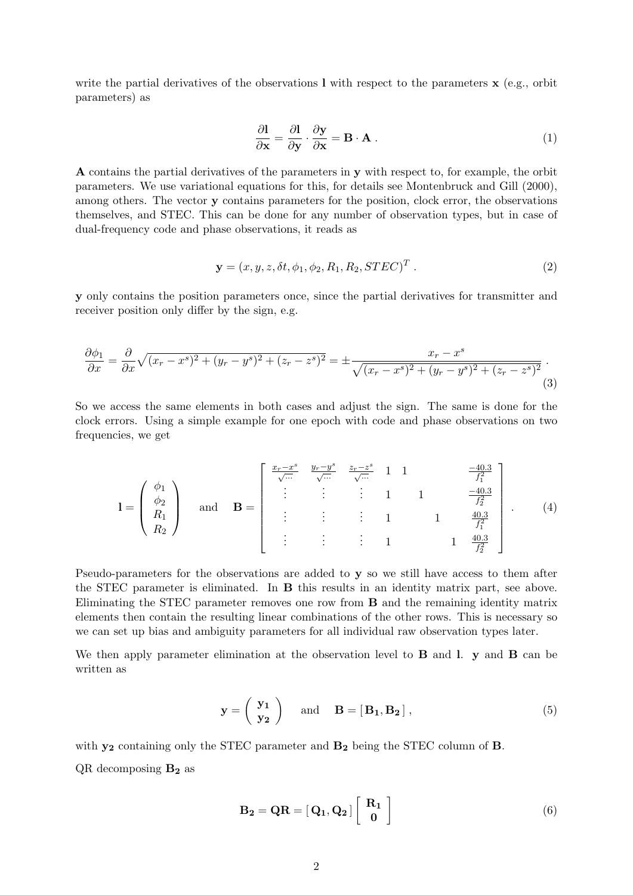write the partial derivatives of the observations  $\bf{l}$  with respect to the parameters  $\bf{x}$  (e.g., orbit parameters) as

$$
\frac{\partial \mathbf{l}}{\partial \mathbf{x}} = \frac{\partial \mathbf{l}}{\partial \mathbf{y}} \cdot \frac{\partial \mathbf{y}}{\partial \mathbf{x}} = \mathbf{B} \cdot \mathbf{A} \tag{1}
$$

A contains the partial derivatives of the parameters in y with respect to, for example, the orbit parameters. We use variational equations for this, for details see Montenbruck and Gill [\(2000\)](#page-4-2), among others. The vector y contains parameters for the position, clock error, the observations themselves, and STEC. This can be done for any number of observation types, but in case of dual-frequency code and phase observations, it reads as

$$
\mathbf{y} = (x, y, z, \delta t, \phi_1, \phi_2, R_1, R_2, STEC)^T.
$$
 (2)

y only contains the position parameters once, since the partial derivatives for transmitter and receiver position only differ by the sign, e.g.

$$
\frac{\partial \phi_1}{\partial x} = \frac{\partial}{\partial x} \sqrt{(x_r - x^s)^2 + (y_r - y^s)^2 + (z_r - z^s)^2} = \pm \frac{x_r - x^s}{\sqrt{(x_r - x^s)^2 + (y_r - y^s)^2 + (z_r - z^s)^2}}.
$$
\n(3)

So we access the same elements in both cases and adjust the sign. The same is done for the clock errors. Using a simple example for one epoch with code and phase observations on two frequencies, we get

$$
\mathbf{l} = \begin{pmatrix} \phi_1 \\ \phi_2 \\ R_1 \\ R_2 \end{pmatrix} \text{ and } \mathbf{B} = \begin{bmatrix} \frac{x_r - x^s}{\sqrt{...}} & \frac{y_r - y^s}{\sqrt{...}} & \frac{z_r - z^s}{\sqrt{...}} & 1 & 1 & \frac{-40.3}{f_1^2} \\ \vdots & \vdots & \vdots & 1 & 1 & \frac{40.3}{f_1^2} \\ \vdots & \vdots & \vdots & 1 & 1 & \frac{40.3}{f_1^2} \\ \vdots & \vdots & \vdots & \vdots & 1 & 1 & \frac{40.3}{f_2^2} \end{bmatrix} . \tag{4}
$$

Pseudo-parameters for the observations are added to y so we still have access to them after the STEC parameter is eliminated. In B this results in an identity matrix part, see above. Eliminating the STEC parameter removes one row from B and the remaining identity matrix elements then contain the resulting linear combinations of the other rows. This is necessary so we can set up bias and ambiguity parameters for all individual raw observation types later.

We then apply parameter elimination at the observation level to  $\bf{B}$  and  $\bf{l}$ .  $\bf{y}$  and  $\bf{B}$  can be written as

$$
\mathbf{y} = \begin{pmatrix} \mathbf{y_1} \\ \mathbf{y_2} \end{pmatrix} \text{ and } \mathbf{B} = [\mathbf{B_1}, \mathbf{B_2}], \tag{5}
$$

with  $y_2$  containing only the STEC parameter and  $B_2$  being the STEC column of B.

 $QR$  decomposing  $B_2$  as

$$
\mathbf{B_2} = \mathbf{Q}\mathbf{R} = [\mathbf{Q_1}, \mathbf{Q_2}] \left[ \begin{array}{c} \mathbf{R_1} \\ \mathbf{0} \end{array} \right] \tag{6}
$$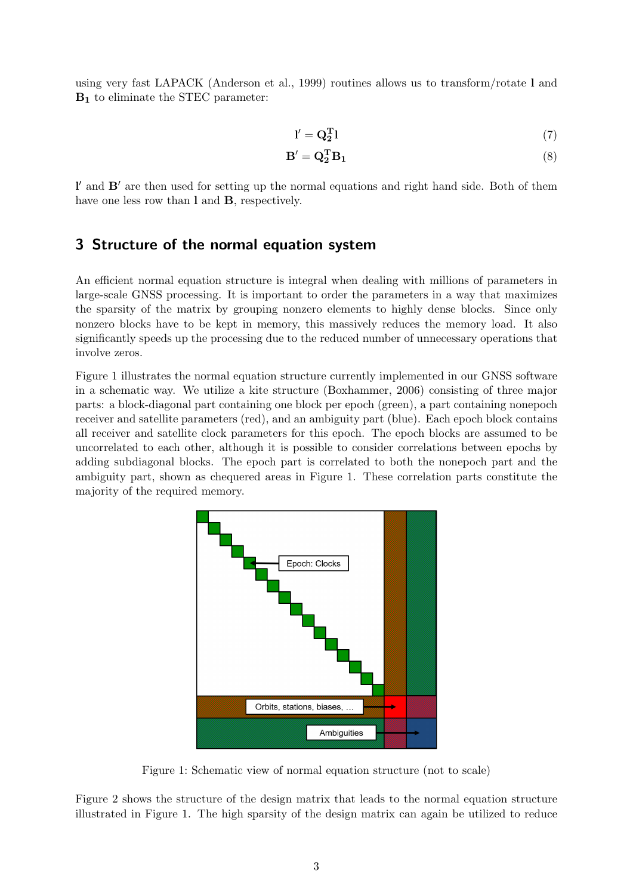using very fast LAPACK (Anderson et al., [1999\)](#page-4-3) routines allows us to transform/rotate l and  $B_1$  to eliminate the STEC parameter:

$$
\mathbf{l}' = \mathbf{Q}_2^{\mathrm{T}} \mathbf{l} \tag{7}
$$

$$
\mathbf{B}' = \mathbf{Q}_2^{\mathrm{T}} \mathbf{B}_1 \tag{8}
$$

l' and B' are then used for setting up the normal equations and right hand side. Both of them have one less row than 1 and **B**, respectively.

#### <span id="page-2-0"></span>3 Structure of the normal equation system

An efficient normal equation structure is integral when dealing with millions of parameters in large-scale GNSS processing. It is important to order the parameters in a way that maximizes the sparsity of the matrix by grouping nonzero elements to highly dense blocks. Since only nonzero blocks have to be kept in memory, this massively reduces the memory load. It also significantly speeds up the processing due to the reduced number of unnecessary operations that involve zeros.

Figure [1](#page-2-1) illustrates the normal equation structure currently implemented in our GNSS software in a schematic way. We utilize a kite structure (Boxhammer, [2006\)](#page-4-4) consisting of three major parts: a block-diagonal part containing one block per epoch (green), a part containing nonepoch receiver and satellite parameters (red), and an ambiguity part (blue). Each epoch block contains all receiver and satellite clock parameters for this epoch. The epoch blocks are assumed to be uncorrelated to each other, although it is possible to consider correlations between epochs by adding subdiagonal blocks. The epoch part is correlated to both the nonepoch part and the ambiguity part, shown as chequered areas in Figure [1.](#page-2-1) These correlation parts constitute the majority of the required memory.



<span id="page-2-1"></span>Figure 1: Schematic view of normal equation structure (not to scale)

Figure [2](#page-3-0) shows the structure of the design matrix that leads to the normal equation structure illustrated in Figure [1.](#page-2-1) The high sparsity of the design matrix can again be utilized to reduce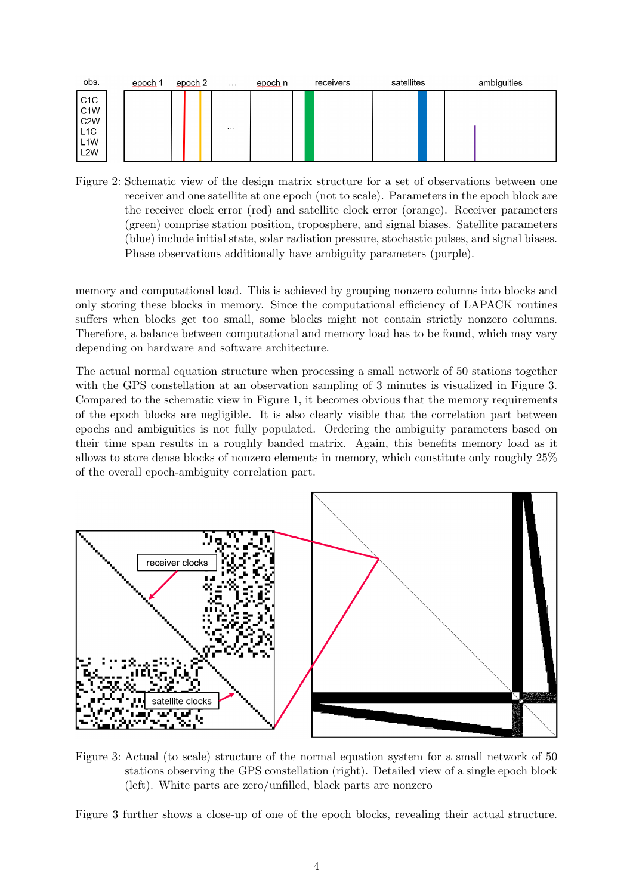

<span id="page-3-0"></span>Figure 2: Schematic view of the design matrix structure for a set of observations between one receiver and one satellite at one epoch (not to scale). Parameters in the epoch block are the receiver clock error (red) and satellite clock error (orange). Receiver parameters (green) comprise station position, troposphere, and signal biases. Satellite parameters (blue) include initial state, solar radiation pressure, stochastic pulses, and signal biases. Phase observations additionally have ambiguity parameters (purple).

memory and computational load. This is achieved by grouping nonzero columns into blocks and only storing these blocks in memory. Since the computational efficiency of LAPACK routines suffers when blocks get too small, some blocks might not contain strictly nonzero columns. Therefore, a balance between computational and memory load has to be found, which may vary depending on hardware and software architecture.

The actual normal equation structure when processing a small network of 50 stations together with the GPS constellation at an observation sampling of 3 minutes is visualized in Figure [3.](#page-3-1) Compared to the schematic view in Figure [1,](#page-2-1) it becomes obvious that the memory requirements of the epoch blocks are negligible. It is also clearly visible that the correlation part between epochs and ambiguities is not fully populated. Ordering the ambiguity parameters based on their time span results in a roughly banded matrix. Again, this benefits memory load as it allows to store dense blocks of nonzero elements in memory, which constitute only roughly 25% of the overall epoch-ambiguity correlation part.



<span id="page-3-1"></span>Figure 3: Actual (to scale) structure of the normal equation system for a small network of 50 stations observing the GPS constellation (right). Detailed view of a single epoch block (left). White parts are zero/unfilled, black parts are nonzero

Figure [3](#page-3-1) further shows a close-up of one of the epoch blocks, revealing their actual structure.